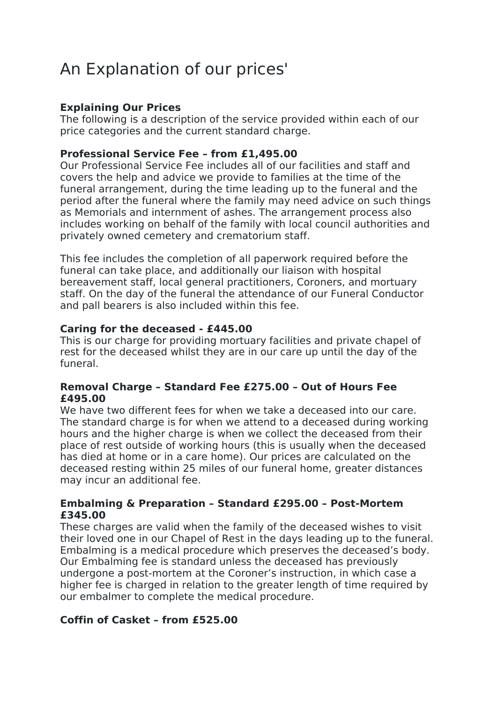# An Explanation of our prices'

## **Explaining Our Prices**

The following is a description of the service provided within each of our price categories and the current standard charge.

## **Professional Service Fee – from £1,495.00**

Our Professional Service Fee includes all of our facilities and staff and covers the help and advice we provide to families at the time of the funeral arrangement, during the time leading up to the funeral and the period after the funeral where the family may need advice on such things as Memorials and internment of ashes. The arrangement process also includes working on behalf of the family with local council authorities and privately owned cemetery and crematorium staff.

This fee includes the completion of all paperwork required before the funeral can take place, and additionally our liaison with hospital bereavement staff, local general practitioners, Coroners, and mortuary staff. On the day of the funeral the attendance of our Funeral Conductor and pall bearers is also included within this fee.

## **Caring for the deceased - £445.00**

This is our charge for providing mortuary facilities and private chapel of rest for the deceased whilst they are in our care up until the day of the funeral.

## **Removal Charge – Standard Fee £275.00 – Out of Hours Fee £495.00**

We have two different fees for when we take a deceased into our care. The standard charge is for when we attend to a deceased during working hours and the higher charge is when we collect the deceased from their place of rest outside of working hours (this is usually when the deceased has died at home or in a care home). Our prices are calculated on the deceased resting within 25 miles of our funeral home, greater distances may incur an additional fee.

## **Embalming & Preparation – Standard £295.00 – Post-Mortem £345.00**

These charges are valid when the family of the deceased wishes to visit their loved one in our Chapel of Rest in the days leading up to the funeral. Embalming is a medical procedure which preserves the deceased's body. Our Embalming fee is standard unless the deceased has previously undergone a post-mortem at the Coroner's instruction, in which case a higher fee is charged in relation to the greater length of time required by our embalmer to complete the medical procedure.

## **Coffin of Casket – from £525.00**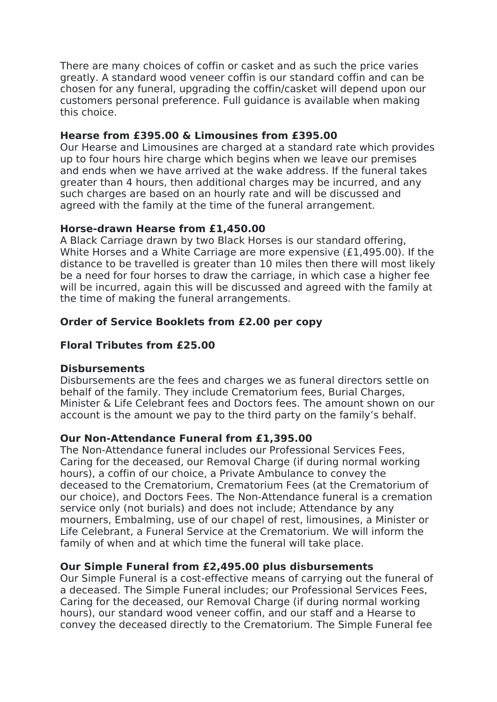There are many choices of coffin or casket and as such the price varies greatly. A standard wood veneer coffin is our standard coffin and can be chosen for any funeral, upgrading the coffin/casket will depend upon our customers personal preference. Full guidance is available when making this choice.

## **Hearse from £395.00 & Limousines from £395.00**

Our Hearse and Limousines are charged at a standard rate which provides up to four hours hire charge which begins when we leave our premises and ends when we have arrived at the wake address. If the funeral takes greater than 4 hours, then additional charges may be incurred, and any such charges are based on an hourly rate and will be discussed and agreed with the family at the time of the funeral arrangement.

## **Horse-drawn Hearse from £1,450.00**

A Black Carriage drawn by two Black Horses is our standard offering, White Horses and a White Carriage are more expensive (£1,495.00). If the distance to be travelled is greater than 10 miles then there will most likely be a need for four horses to draw the carriage, in which case a higher fee will be incurred, again this will be discussed and agreed with the family at the time of making the funeral arrangements.

## **Order of Service Booklets from £2.00 per copy**

## **Floral Tributes from £25.00**

## **Disbursements**

Disbursements are the fees and charges we as funeral directors settle on behalf of the family. They include Crematorium fees, Burial Charges, Minister & Life Celebrant fees and Doctors fees. The amount shown on our account is the amount we pay to the third party on the family's behalf.

## **Our Non-Attendance Funeral from £1,395.00**

The Non-Attendance funeral includes our Professional Services Fees, Caring for the deceased, our Removal Charge (if during normal working hours), a coffin of our choice, a Private Ambulance to convey the deceased to the Crematorium, Crematorium Fees (at the Crematorium of our choice), and Doctors Fees. The Non-Attendance funeral is a cremation service only (not burials) and does not include; Attendance by any mourners, Embalming, use of our chapel of rest, limousines, a Minister or Life Celebrant, a Funeral Service at the Crematorium. We will inform the family of when and at which time the funeral will take place.

## **Our Simple Funeral from £2,495.00 plus disbursements**

Our Simple Funeral is a cost-effective means of carrying out the funeral of a deceased. The Simple Funeral includes; our Professional Services Fees, Caring for the deceased, our Removal Charge (if during normal working hours), our standard wood veneer coffin, and our staff and a Hearse to convey the deceased directly to the Crematorium. The Simple Funeral fee